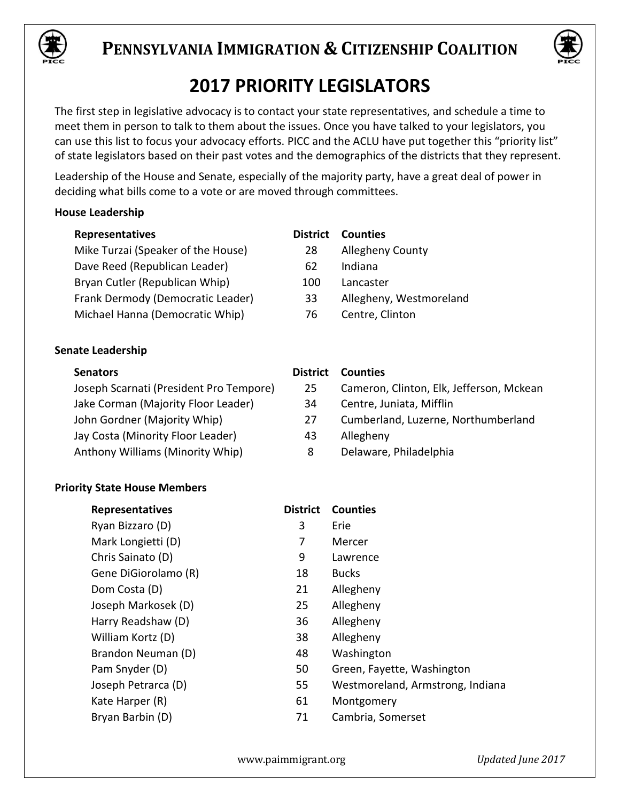



## **2017 PRIORITY LEGISLATORS**

The first step in legislative advocacy is to contact your state representatives, and schedule a time to meet them in person to talk to them about the issues. Once you have talked to your legislators, you can use this list to focus your advocacy efforts. PICC and the ACLU have put together this "priority list" of state legislators based on their past votes and the demographics of the districts that they represent.

Leadership of the House and Senate, especially of the majority party, have a great deal of power in deciding what bills come to a vote or are moved through committees.

## **House Leadership**

| <b>Representatives</b>                  | <b>District</b> | <b>Counties</b>                          |
|-----------------------------------------|-----------------|------------------------------------------|
| Mike Turzai (Speaker of the House)      | 28              | <b>Allegheny County</b>                  |
| Dave Reed (Republican Leader)           | 62              | Indiana                                  |
| Bryan Cutler (Republican Whip)          | 100             | Lancaster                                |
| Frank Dermody (Democratic Leader)       | 33              | Allegheny, Westmoreland                  |
| Michael Hanna (Democratic Whip)         | 76              | Centre, Clinton                          |
| Senate Leadership                       |                 |                                          |
| <b>Senators</b>                         | <b>District</b> | <b>Counties</b>                          |
| Joseph Scarnati (President Pro Tempore) | 25              | Cameron, Clinton, Elk, Jefferson, Mckean |
| Jake Corman (Majority Floor Leader)     | 34              | Centre, Juniata, Mifflin                 |
| John Gordner (Majority Whip)            | 27              | Cumberland, Luzerne, Northumberland      |
| Jay Costa (Minority Floor Leader)       | 43              | Allegheny                                |
|                                         |                 |                                          |
| Anthony Williams (Minority Whip)        | 8               | Delaware, Philadelphia                   |

## **Priority State House Members**

| <b>Representatives</b> | <b>District</b> | <b>Counties</b>                  |
|------------------------|-----------------|----------------------------------|
| Ryan Bizzaro (D)       | 3               | Erie                             |
| Mark Longietti (D)     | 7               | Mercer                           |
| Chris Sainato (D)      | 9               | Lawrence                         |
| Gene DiGiorolamo (R)   | 18              | <b>Bucks</b>                     |
| Dom Costa (D)          | 21              | Allegheny                        |
| Joseph Markosek (D)    | 25              | Allegheny                        |
| Harry Readshaw (D)     | 36              | Allegheny                        |
| William Kortz (D)      | 38              | Allegheny                        |
| Brandon Neuman (D)     | 48              | Washington                       |
| Pam Snyder (D)         | 50              | Green, Fayette, Washington       |
| Joseph Petrarca (D)    | 55              | Westmoreland, Armstrong, Indiana |
| Kate Harper (R)        | 61              | Montgomery                       |
| Bryan Barbin (D)       | 71              | Cambria, Somerset                |
|                        |                 |                                  |